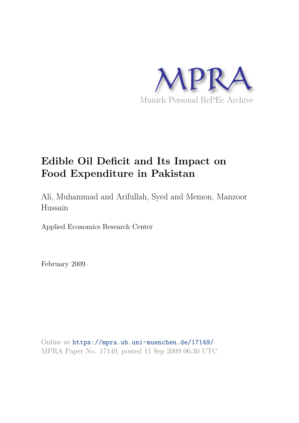

# **Edible Oil Deficit and Its Impact on Food Expenditure in Pakistan**

Ali, Muhammad and Arifullah, Syed and Memon, Manzoor Hussain

Applied Economics Research Center

February 2009

Online at https://mpra.ub.uni-muenchen.de/17149/ MPRA Paper No. 17149, posted 11 Sep 2009 06:30 UTC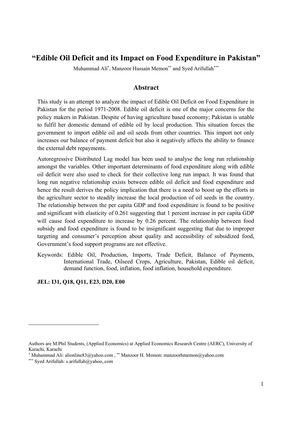# **"Edible Oil Deficit and its Impact on Food Expenditure in Pakistan"**

Muhammad Ali<sup>\*</sup>, Manzoor Hussain Memon<sup>\*\*</sup> and Syed Arifullah<sup>\*\*\*</sup>

# **Abstract**

This study is an attempt to analyze the impact of Edible Oil Deficit on Food Expenditure in Pakistan for the period 1971-2008. Edible oil deficit is one of the major concerns for the policy makers in Pakistan. Despite of having agriculture based economy; Pakistan is unable to fulfil her domestic demand of edible oil by local production. This situation forces the government to import edible oil and oil seeds from other countries. This import not only increases our balance of payment deficit but also it negatively affects the ability to finance the external debt repayments.

Autoregressive Distributed Lag model has been used to analyse the long run relationship amongst the variables. Other important determinants of food expenditure along with edible oil deficit were also used to check for their collective long run impact. It was found that long run negative relationship exists between edible oil deficit and food expenditure and hence the result derives the policy implication that there is a need to boost up the efforts in the agriculture sector to steadily increase the local production of oil seeds in the country. The relationship between the per capita GDP and food expenditure is found to be positive and significant with elasticity of 0.261 suggesting that 1 percent increase in per capita GDP will cause food expenditure to increase by 0.26 percent. The relationship between food subsidy and food expenditure is found to be insignificant suggesting that due to improper targeting and consumer's perception about quality and accessibility of subsidized food, Government's food support programs are not effective.

Keywords: Edible Oil, Production, Imports, Trade Deficit, Balance of Payments, International Trade, Oilseed Crops, Agriculture, Pakistan, Edible oil deficit, demand function, food, inflation, food inflation, household expenditure.

**JEL: I31, Q18, Q11, E23, D20, E00** 

Authors are M.Phil Students, (Applied Economics) at Applied Economics Research Centre (AERC), University of Karachi, Karachi

<sup>∗</sup> Muhammad Ali: alionline83@yahoo.com , ∗∗ Manzoor H. Memon: manzoorhmemon@yahoo.com

<sup>∗∗∗</sup> Syed Arifullah: s.arifullah@yahoo,.com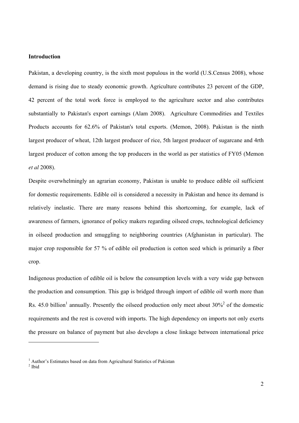#### **Introduction**

Pakistan, a developing country, is the sixth most populous in the world (U.S.Census 2008), whose demand is rising due to steady economic growth. Agriculture contributes 23 percent of the GDP, 42 percent of the total work force is employed to the agriculture sector and also contributes substantially to Pakistan's export earnings (Alam 2008). Agriculture Commodities and Textiles Products accounts for 62.6% of Pakistan's total exports. (Memon, 2008). Pakistan is the ninth largest producer of wheat, 12th largest producer of rice, 5th largest producer of sugarcane and 4rth largest producer of cotton among the top producers in the world as per statistics of FY05 (Memon *et al* 2008).

Despite overwhelmingly an agrarian economy, Pakistan is unable to produce edible oil sufficient for domestic requirements. Edible oil is considered a necessity in Pakistan and hence its demand is relatively inelastic. There are many reasons behind this shortcoming, for example, lack of awareness of farmers, ignorance of policy makers regarding oilseed crops, technological deficiency in oilseed production and smuggling to neighboring countries (Afghanistan in particular). The major crop responsible for 57 % of edible oil production is cotton seed which is primarily a fiber crop.

Indigenous production of edible oil is below the consumption levels with a very wide gap between the production and consumption. This gap is bridged through import of edible oil worth more than Rs. 45.0 billion<sup>1</sup> annually. Presently the oilseed production only meet about  $30\%$ <sup>2</sup> of the domestic requirements and the rest is covered with imports. The high dependency on imports not only exerts the pressure on balance of payment but also develops a close linkage between international price

<sup>&</sup>lt;sup>1</sup> Author's Estimates based on data from Agricultural Statistics of Pakistan

 $<sup>2</sup>$  Ibid</sup>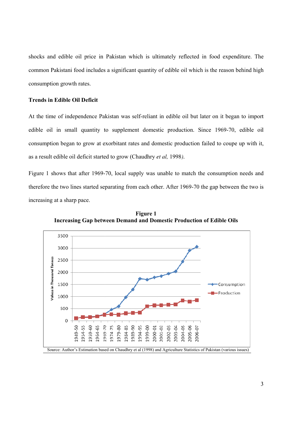shocks and edible oil price in Pakistan which is ultimately reflected in food expenditure. The common Pakistani food includes a significant quantity of edible oil which is the reason behind high consumption growth rates.

#### **Trends in n Edible Oil l Deficit**

At the time of independence Pakistan was self-reliant in edible oil but later on it began to import edible oil in small quantity to supplement domestic production. Since 1969-70, edible oil consumption began to grow at exorbitant rates and domestic production failed to coupe up with it as a result edible oil deficit started to grow (Chaudhry *et al*, 1998). e<br>h<br>il<br>t,

Figure 1 shows that after 1969-70, local supply was unable to match the consumption needs and therefore the two lines started separating from each other. After 1969-70 the gap between the two is increasing at a sharp pace. d<br>is



Increasing Gap between Demand and Domestic Production of Edible Oils **Figure 1**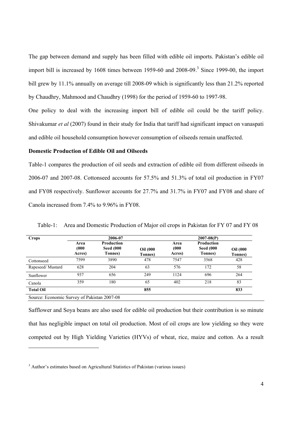The gap between demand and supply has been filled with edible oil imports. Pakistan's edible oil import bill is increased by  $1608$  times between 1959-60 and  $2008-09$ .<sup>3</sup> Since 1999-00, the import bill grew by 11.1% annually on average till 2008-09 which is significantly less than 21.2% reported by Chaudhry, Mahmood and Chaudhry (1998) for the period of 1959-60 to 1997-98.

One policy to deal with the increasing import bill of edible oil could be the tariff policy. Shivakumar *et al* (2007) found in their study for India that tariff had significant impact on vanaspati and edible oil household consumption however consumption of oilseeds remain unaffected.

# **Domestic Production of Edible Oil and Oilseeds**

Table-1 compares the production of oil seeds and extraction of edible oil from different oilseeds in 2006-07 and 2007-08. Cottonseed accounts for 57.5% and 51.3% of total oil production in FY07 and FY08 respectively. Sunflower accounts for 27.7% and 31.7% in FY07 and FY08 and share of Canola increased from 7.4% to 9.96% in FY08.

| <b>Crops</b>                                | 2006-07                 |                                           |                                    | $2007 - 08(P)$          |                                                          |                                    |
|---------------------------------------------|-------------------------|-------------------------------------------|------------------------------------|-------------------------|----------------------------------------------------------|------------------------------------|
|                                             | Area<br>(000)<br>Acres) | Production<br><b>Seed (000</b><br>Tonnes) | <b>Oil</b> (000<br><b>Tonnes</b> ) | Area<br>(000)<br>Acres) | <b>Production</b><br><b>Seed (000</b><br><b>Tonnes</b> ) | <b>Oil</b> (000<br><b>Tonnes</b> ) |
| Cottonseed                                  | 7599                    | 3890                                      | 478                                | 7547                    | 3568                                                     | 428                                |
| Rapeseed/Mustard                            | 628                     | 204                                       | 63                                 | 576                     | 172                                                      | 58                                 |
| Sunflower                                   | 937                     | 656                                       | 249                                | 1124                    | 696                                                      | 264                                |
| Canola                                      | 359                     | 180                                       | 65                                 | 402                     | 218                                                      | 83                                 |
| <b>Total Oil</b>                            |                         |                                           | 855                                |                         |                                                          | 833                                |
| Source: Economic Survey of Pakistan 2007-08 |                         |                                           |                                    |                         |                                                          |                                    |

Table-1: Area and Domestic Production of Major oil crops in Pakistan for FY 07 and FY 08

Safflower and Soya beans are also used for edible oil production but their contribution is so minute that has negligible impact on total oil production. Most of oil crops are low yielding so they were competed out by High Yielding Varieties (HYVs) of wheat, rice, maize and cotton. As a result

<sup>&</sup>lt;sup>3</sup> Author's estimates based on Agricultural Statistics of Pakistan (various issues)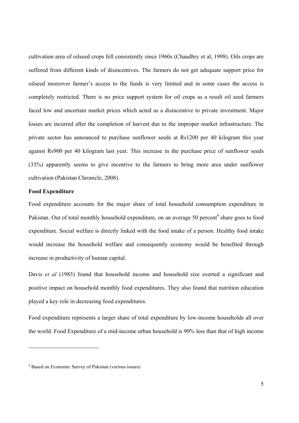cultivation area of oilseed crops fell consistently since 1960s (Chaudhry et al, 1998). Oils crops are suffered from different kinds of disincentives. The farmers do not get adequate support price for oilseed moreover farmer's access to the funds is very limited and in some cases the access is completely restricted. There is no price support system for oil crops as a result oil seed farmers faced low and uncertain market prices which acted as a disincentive to private investment. Major losses are incurred after the completion of harvest due to the improper market infrastructure. The private sector has announced to purchase sunflower seeds at Rs1200 per 40 kilogram this year against Rs900 per 40 kilogram last year. This increase in the purchase price of sunflower seeds (33%) apparently seems to give incentive to the farmers to bring more area under sunflower cultivation (Pakistan Chronicle, 2008).

# **Food Expenditure**

-

Food expenditure accounts for the major share of total household consumption expenditure in Pakistan. Out of total monthly household expenditure, on an average 50 percent<sup>4</sup> share goes to food expenditure. Social welfare is directly linked with the food intake of a person. Healthy food intake would increase the household welfare and consequently economy would be benefited through increase in productivity of human capital.

Davis *et al* (1983) found that household income and household size exerted a significant and positive impact on household monthly food expenditures. They also found that nutrition education played a key role in decreasing food expenditures.

Food expenditure represents a larger share of total expenditure by low-income households all over the world. Food Expenditure of a mid-income urban household is 90% less than that of high income

<sup>4</sup> Based on Economic Survey of Pakistan (various issues)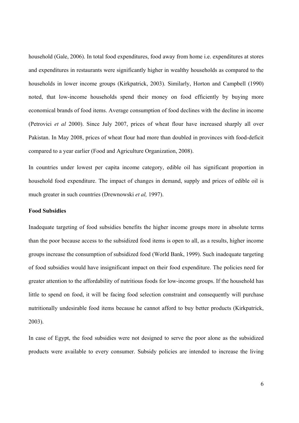household (Gale, 2006). In total food expenditures, food away from home i.e. expenditures at stores and expenditures in restaurants were significantly higher in wealthy households as compared to the households in lower income groups (Kirkpatrick, 2003). Similarly, Horton and Campbell (1990) noted, that low-income households spend their money on food efficiently by buying more economical brands of food items. Average consumption of food declines with the decline in income (Petrovici *et al* 2000). Since July 2007, prices of wheat flour have increased sharply all over Pakistan. In May 2008, prices of wheat flour had more than doubled in provinces with food-deficit compared to a year earlier (Food and Agriculture Organization, 2008).

In countries under lowest per capita income category, edible oil has significant proportion in household food expenditure. The impact of changes in demand, supply and prices of edible oil is much greater in such countries (Drewnowski *et al,* 1997).

#### **Food Subsidies**

Inadequate targeting of food subsidies benefits the higher income groups more in absolute terms than the poor because access to the subsidized food items is open to all, as a results, higher income groups increase the consumption of subsidized food (World Bank, 1999). Such inadequate targeting of food subsidies would have insignificant impact on their food expenditure. The policies need for greater attention to the affordability of nutritious foods for low-income groups. If the household has little to spend on food, it will be facing food selection constraint and consequently will purchase nutritionally undesirable food items because he cannot afford to buy better products (Kirkpatrick, 2003).

In case of Egypt, the food subsidies were not designed to serve the poor alone as the subsidized products were available to every consumer. Subsidy policies are intended to increase the living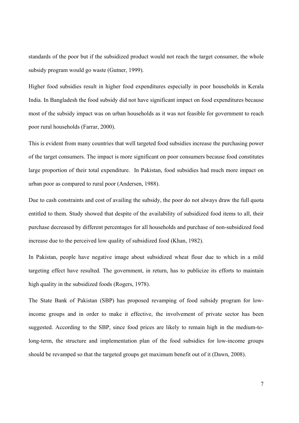standards of the poor but if the subsidized product would not reach the target consumer, the whole subsidy program would go waste (Gutner, 1999).

Higher food subsidies result in higher food expenditures especially in poor households in Kerala India. In Bangladesh the food subsidy did not have significant impact on food expenditures because most of the subsidy impact was on urban households as it was not feasible for government to reach poor rural households (Farrar, 2000).

This is evident from many countries that well targeted food subsidies increase the purchasing power of the target consumers. The impact is more significant on poor consumers because food constitutes large proportion of their total expenditure. In Pakistan, food subsidies had much more impact on urban poor as compared to rural poor (Andersen, 1988).

Due to cash constraints and cost of availing the subsidy, the poor do not always draw the full quota entitled to them. Study showed that despite of the availability of subsidized food items to all, their purchase decreased by different percentages for all households and purchase of non-subsidized food increase due to the perceived low quality of subsidized food (Khan, 1982).

In Pakistan, people have negative image about subsidized wheat flour due to which in a mild targeting effect have resulted. The government, in return, has to publicize its efforts to maintain high quality in the subsidized foods (Rogers, 1978).

The State Bank of Pakistan (SBP) has proposed revamping of food subsidy program for lowincome groups and in order to make it effective, the involvement of private sector has been suggested. According to the SBP, since food prices are likely to remain high in the medium-tolong-term, the structure and implementation plan of the food subsidies for low-income groups should be revamped so that the targeted groups get maximum benefit out of it (Dawn, 2008).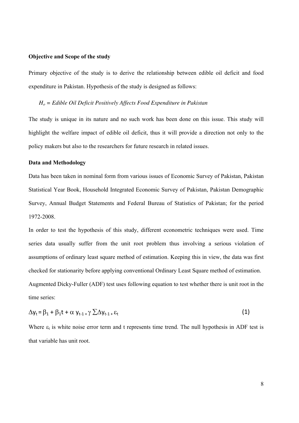#### **Objective and Scope of the study**

Primary objective of the study is to derive the relationship between edible oil deficit and food expenditure in Pakistan. Hypothesis of the study is designed as follows:

#### *Ho = Edible Oil Deficit Positively Affects Food Expenditure in Pakistan*

The study is unique in its nature and no such work has been done on this issue. This study will highlight the welfare impact of edible oil deficit, thus it will provide a direction not only to the policy makers but also to the researchers for future research in related issues.

### **Data and Methodology**

Data has been taken in nominal form from various issues of Economic Survey of Pakistan, Pakistan Statistical Year Book, Household Integrated Economic Survey of Pakistan, Pakistan Demographic Survey, Annual Budget Statements and Federal Bureau of Statistics of Pakistan; for the period 1972-2008.

In order to test the hypothesis of this study, different econometric techniques were used. Time series data usually suffer from the unit root problem thus involving a serious violation of assumptions of ordinary least square method of estimation. Keeping this in view, the data was first checked for stationarity before applying conventional Ordinary Least Square method of estimation. Augmented Dicky-Fuller (ADF) test uses following equation to test whether there is unit root in the time series:

$$
\Delta y_t = \beta_1 + \beta_1 t + \alpha y_{t-1+} \gamma \sum \Delta y_{t-1+} \varepsilon_t
$$
\n(1)

Where  $\varepsilon_t$  is white noise error term and t represents time trend. The null hypothesis in ADF test is that variable has unit root.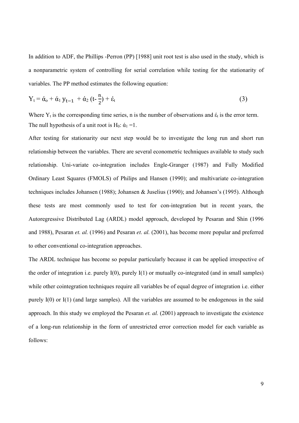In addition to ADF, the Phillips -Perron (PP) [1988] unit root test is also used in the study, which is a nonparametric system of controlling for serial correlation while testing for the stationarity of variables. The PP method estimates the following equation:

$$
Y_{t} = \dot{\alpha}_{0} + \dot{\alpha}_{1} y_{t-1} + \dot{\alpha}_{2} (t - \frac{n}{2}) + \dot{\epsilon}_{t}
$$
 (3)

Where  $Y_t$  is the corresponding time series, n is the number of observations and  $\epsilon_t$  is the error term. The null hypothesis of a unit root is H<sub>0</sub>:  $\dot{\alpha}_1$  =1.

After testing for stationarity our next step would be to investigate the long run and short run relationship between the variables. There are several econometric techniques available to study such relationship. Uni-variate co-integration includes Engle-Granger (1987) and Fully Modified Ordinary Least Squares (FMOLS) of Philips and Hansen (1990); and multivariate co-integration techniques includes Johansen (1988); Johansen & Juselius (1990); and Johansen's (1995). Although these tests are most commonly used to test for con-integration but in recent years, the Autoregressive Distributed Lag (ARDL) model approach, developed by Pesaran and Shin (1996 and 1988), Pesaran *et. al.* (1996) and Pesaran *et. al.* (2001), has become more popular and preferred to other conventional co-integration approaches.

The ARDL technique has become so popular particularly because it can be applied irrespective of the order of integration i.e. purely I(0), purely I(1) or mutually co-integrated (and in small samples) while other cointegration techniques require all variables be of equal degree of integration i.e. either purely I(0) or I(1) (and large samples). All the variables are assumed to be endogenous in the said approach. In this study we employed the Pesaran *et. al.* (2001) approach to investigate the existence of a long-run relationship in the form of unrestricted error correction model for each variable as follows: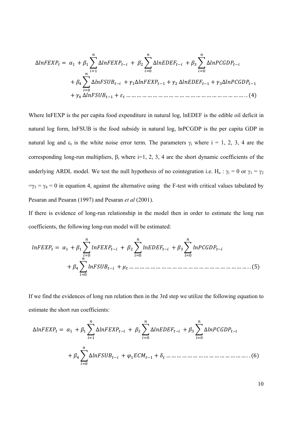∆݈݊ܧܨܺܲ<sup>௧</sup> ൌ ߙଵ ߚଵ∆݈݊ܧܨܺܲ௧ି ୀଵ ି௧ܨܧܦܧ݈݊∆ଶߚ ୀ ି௧ܲܦܩܥ݈݊ܲ∆ଷߚ ୀ ି௧ܤܷܵܨ݈݊∆ସߚ ୀ ߛଵ∆݈݊ܧܨܺܲ௧ିଵ ߛ<sup>ଶ</sup> ∆݈݊ܨܧܦܧ௧ିଵ ߛଷ∆݈݊ܲܦܩܥܲ௧ିଵ <sup>ସ</sup>ߛ ∆݈݊ܨܷܵܤ௧ିଵ ߝ<sup>௧</sup> … … … … … … … … … … … … … … … … … … … … … … . . ሺ4ሻ

Where lnFEXP is the per capita food expenditure in natural log, lnEDEF is the edible oil deficit in natural log form, lnFSUB is the food subsidy in natural log, lnPCGDP is the per capita GDP in natural log and  $\varepsilon_t$  is the white noise error term. The parameters  $\gamma_i$  where  $i = 1, 2, 3, 4$  are the corresponding long-run multipliers,  $β<sub>i</sub>$  where i=1, 2, 3, 4 are the short dynamic coefficients of the underlying ARDL model. We test the null hypothesis of no cointegration i.e. H<sub>o</sub>:  $\gamma_i = 0$  or  $\gamma_1 = \gamma_2$  $=y_3 = y_4 = 0$  in equation 4, against the alternative using the F-test with critical values tabulated by Pesaran and Pesaran (1997) and Pesaran *et al* (2001).

If there is evidence of long-run relationship in the model then in order to estimate the long run coefficients, the following long-run model will be estimated:

݈݊ܧܨܺܲ<sup>௧</sup> ൌ ߙଵ ߚଵ݈݊ܧܨܺܲ௧ି ୀ ି௧ܨܧܦܧ݈݊ଶߚ ୀ ି௧ܲܦܩܥ݈݊ܲଷߚ ୀ ି௧ܤܷܵܨ݈݊ସߚ ୀ ߤ<sup>௧</sup> … … … … … … … … … … … … … … … … … … … … … … . . ሺ5ሻ

If we find the evidences of long run relation then in the 3rd step we utilize the following equation to estimate the short run coefficients:

∆݈݊ܧܨܺܲ<sup>௧</sup> ൌ ߙଵ ߚଵ∆݈݊ܧܨܺܲ௧ି ୀଵ ି௧ܨܧܦܧ݈݊∆ଶߚ ୀ ି௧ܲܦܩܥ݈݊ܲ∆ଷߚ ୀ ି௧ܤܷܵܨ݈݊∆ସߚ ୀ ߮ଵܯܥܧ௧ିଵ ߜ<sup>௧</sup> … … … … … … … … … … … … … … … . . ሺ6ሻ

10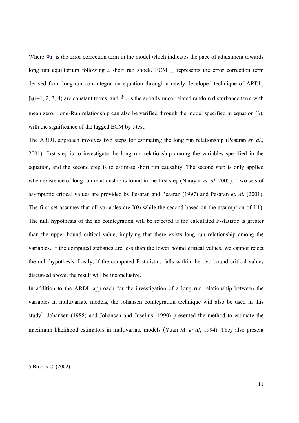Where  $\varphi_1$  is the error correction term in the model which indicates the pace of adjustment towards long run equilibrium following a short run shock. ECM  $_{t-1}$  represents the error correction term derived from long-run con-integration equation through a newly developed technique of ARDL  $\beta_i$ (i=1, 2, 3, 4) are constant terms, and  $\delta_i$  is the serially uncorrelated random disturbance term with  $\beta_i$ (i=1, 2, 3, 4) are constant terms, and  $\delta_i$  is the serially uncorrelated random disturbance term with mean zero. Long-Run relationship can also be verified through the model specified in equation (6), with the significance of the lagged ECM by t-test.

The ARDL approach involves two steps for estimating the long run relationship (Pesaran *et. al.*, 2001), first step is to investigate the long run relationship among the variables specified in the equation, and the second step is to estimate short run causality. The second step is only applied when existence of long run relationship is found in the first step (Narayan *et. al.* 2005). Two sets of asymptotic critical values are provided by Pesaran and Pesaran (1997) and Pesaran et. al. (2001) The first set assumes that all variables are  $I(0)$  while the second based on the assumption of  $I(1)$ . The null hypothesis of the no cointegration will be rejected if the calculated F-statistic is greater than the upper bound critical value, implying that there exists long run relationship among the variables. If the computed statistics are less than the lower bound critical values, we cannot reject the null hypothesis. Lastly, if the computed F-statistics falls within the two bound critical values discussed above, the result will be inconclusive. 1sm, ed<br>of<br>). eret<br>et<br>eset<br>et

In addition to the ARDL approach for the investigation of a long run relationship between the variables in multivariate models, the Johansen cointegration technique will also be used in this study<sup>5</sup>. Johansen (1988) and Johansen and Juselius (1990) presented the method to estimate the maximum likelihood estimators in multivariate models (Yuan M. *et al*, 1994). They also present

5 Brooks C C. (2002)

l

l

l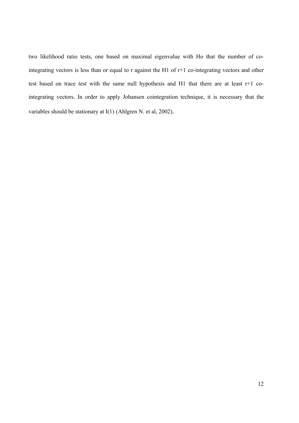two likelihood ratio tests, one based on maximal eigenvalue with Ho that the number of cointegrating vectors is less than or equal to r against the H1 of r+1 co-integrating vectors and other test based on trace test with the same null hypothesis and H1 that there are at least r+1 cointegrating vectors. In order to apply Johansen cointegration technique, it is necessary that the variables should be stationary at I(1) (Ahlgren N. et al, 2002).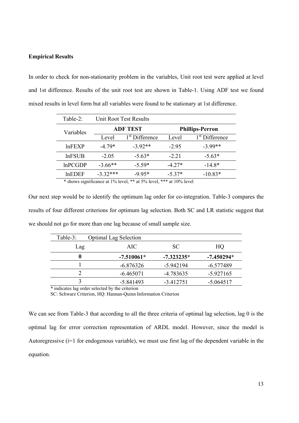#### **Empirical Results**

In order to check for non-stationarity problem in the variables, Unit root test were applied at level and 1st difference. Results of the unit root test are shown in Table-1. Using ADF test we found mixed results in level form but all variables were found to be stationary at 1st difference.

| Table-2:       |                 | Unit Root Test Results |                        |                            |
|----------------|-----------------|------------------------|------------------------|----------------------------|
| Variables      | <b>ADF TEST</b> |                        | <b>Phillips-Perron</b> |                            |
|                | Level           | Difference             | Level                  | 1 <sup>st</sup> Difference |
| InFEXP         | $-479*$         | $-3.92**$              | $-295$                 | $-3.99**$                  |
| <b>lnFSUB</b>  | $-2.05$         | $-5.63*$               | $-221$                 | $-5.63*$                   |
| <b>InPCGDP</b> | $-3.66**$       | $-5.59*$               | $-4.27*$               | $-14.8*$                   |
| lnEDEF         | $-3.32***$      | $-995*$                | $-5.37*$               | $-10.83*$                  |

\* shows significance at 1% level, \*\* at 5% level, \*\*\* at 10% level

Our next step would be to identify the optimum lag order for co-integration. Table-3 compares the results of four different criterions for optimum lag selection. Both SC and LR statistic suggest that we should not go for more than one lag because of small sample size.

| Table-3: | <b>Optimal Lag Selection</b> |              |              |
|----------|------------------------------|--------------|--------------|
| Lag      | AIC                          | SC.          | HQ           |
|          | $-7.510061*$                 | $-7.323235*$ | $-7.450294*$ |
|          | $-6.876326$                  | $-5.942194$  | $-6.577489$  |
|          | $-6.465071$                  | -4.783635    | $-5.927165$  |
|          | $-5.841493$                  | $-3.412751$  | $-5.064517$  |

\* indicates lag order selected by the criterion

SC: Schwarz Criterion, HQ: Hannan-Quinn Information Criterion

We can see from Table-3 that according to all the three criteria of optimal lag selection, lag 0 is the optimal lag for error correction representation of ARDL model. However, since the model is Autoregressive (i=1 for endogenous variable), we must use first lag of the dependent variable in the equation.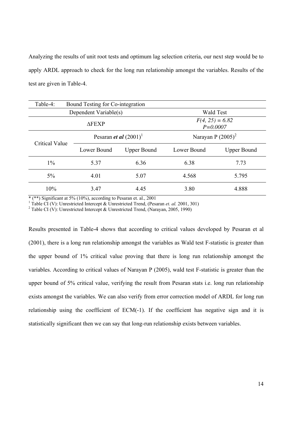Analyzing the results of unit root tests and optimum lag selection criteria, our next step would be to apply ARDL approach to check for the long run relationship amongst the variables. Results of the test are given in Table-4.

| Table-4:<br>Bound Testing for Co-integration |                       |                                   |                  |                      |  |
|----------------------------------------------|-----------------------|-----------------------------------|------------------|----------------------|--|
|                                              |                       |                                   |                  |                      |  |
|                                              | Dependent Variable(s) |                                   | <b>Wald Test</b> |                      |  |
|                                              | <b>AFEXP</b>          | $F(4, 25) = 6.82$<br>$P = 0.0007$ |                  |                      |  |
| <b>Critical Value</b>                        |                       | Pesaran <i>et al</i> $(2001)^1$   |                  | Narayan P $(2005)^2$ |  |
|                                              | Lower Bound           | <b>Upper Bound</b>                | Lower Bound      | <b>Upper Bound</b>   |  |
| $1\%$                                        | 5.37                  | 6.36                              | 6.38             | 7.73                 |  |
| $5\%$                                        | 4.01                  | 5.07                              | 4.568            | 5.795                |  |
| 10%                                          | 347                   | 4.45                              | 3.80             | 4.888                |  |

 $*(**)$  Significant at 5% (10%), according to Pesaran et. al., 2001

<sup>1</sup> Table CI (V): Unrestricted Intercept & Unrestricted Trend, (Pesaran et. al. 2001, 301)

<sup>2</sup> Table CI (V): Unrestricted Intercept & Unrestricted Trend, (Narayan, 2005, 1990)

Results presented in Table-4 shows that according to critical values developed by Pesaran et al (2001), there is a long run relationship amongst the variables as Wald test F-statistic is greater than the upper bound of 1% critical value proving that there is long run relationship amongst the variables. According to critical values of Narayan P (2005), wald test F-statistic is greater than the upper bound of 5% critical value, verifying the result from Pesaran stats i.e. long run relationship exists amongst the variables. We can also verify from error correction model of ARDL for long run relationship using the coefficient of ECM(-1). If the coefficient has negative sign and it is statistically significant then we can say that long-run relationship exists between variables.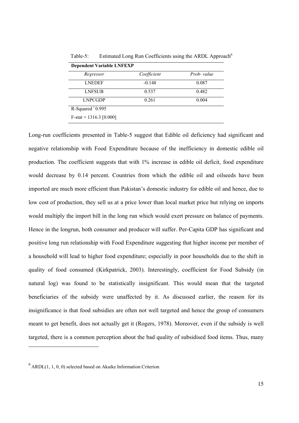| Coefficient | Prob-value |
|-------------|------------|
| $-0.148$    | 0.087      |
| 0.537       | 0.482      |
| 0.261       | 0.004      |
|             |            |
|             |            |
|             |            |

**Dependent Variable LNFEXP** 

Table-5: Estimated Long Run Coefficients using the ARDL Approach<sup>6</sup>

Long-run coefficients presented in Table-5 suggest that Edible oil deficiency had significant and negative relationship with Food Expenditure because of the inefficiency in domestic edible oil production. The coefficient suggests that with 1% increase in edible oil deficit, food expenditure would decrease by 0.14 percent. Countries from which the edible oil and oilseeds have been imported are much more efficient than Pakistan's domestic industry for edible oil and hence, due to low cost of production, they sell us at a price lower than local market price but relying on imports would multiply the import bill in the long run which would exert pressure on balance of payments. Hence in the longrun, both consumer and producer will suffer. Per-Capita GDP has significant and positive long run relationship with Food Expenditure suggesting that higher income per member of a household will lead to higher food expenditure; especially in poor households due to the shift in quality of food consumed (Kirkpatrick, 2003). Interestingly, coefficient for Food Subsidy (in natural log) was found to be statistically insignificant. This would mean that the targeted beneficiaries of the subsidy were unaffected by it. As discussed earlier, the reason for its insignificance is that food subsidies are often not well targeted and hence the group of consumers meant to get benefit, does not actually get it (Rogers, 1978). Moreover, even if the subsidy is well targeted, there is a common perception about the bad quality of subsidised food items. Thus, many

 $6$  ARDL(1, 1, 0, 0) selected based on Akaike Information Criterion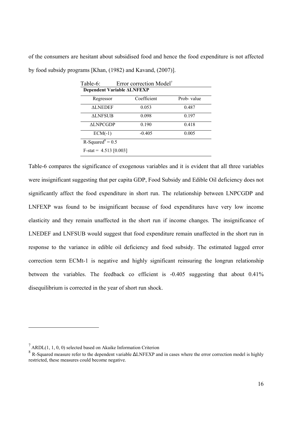of the consumers are hesitant about subsidised food and hence the food expenditure is not affected by food subsidy programs [Khan, (1982) and Kavand, (2007)].

| Table-6:<br>Error correction Model <sup>7</sup> |             |            |  |  |  |  |
|-------------------------------------------------|-------------|------------|--|--|--|--|
| <b>Dependent Variable ALNFEXP</b>               |             |            |  |  |  |  |
| Regressor                                       | Coefficient | Prob-value |  |  |  |  |
| <b>ALNEDEF</b>                                  | 0.053       | 0.487      |  |  |  |  |
| ΔLNFSUB                                         | 0.098       | 0.197      |  |  |  |  |
| <b>ALNPCGDP</b>                                 | 0.190       | 0.418      |  |  |  |  |
| $ECM(-1)$                                       | $-0.405$    | 0.005      |  |  |  |  |
| R-Squared <sup>8</sup> = $0.5$                  |             |            |  |  |  |  |
| $F-stat = 4.513 [0.003]$                        |             |            |  |  |  |  |

Table-6 compares the significance of exogenous variables and it is evident that all three variables were insignificant suggesting that per capita GDP, Food Subsidy and Edible Oil deficiency does not significantly affect the food expenditure in short run. The relationship between LNPCGDP and LNFEXP was found to be insignificant because of food expenditures have very low income elasticity and they remain unaffected in the short run if income changes. The insignificance of LNEDEF and LNFSUB would suggest that food expenditure remain unaffected in the short run in response to the variance in edible oil deficiency and food subsidy. The estimated lagged error correction term ECMt-1 is negative and highly significant reinsuring the longrun relationship between the variables. The feedback co efficient is -0.405 suggesting that about 0.41% disequilibrium is corrected in the year of short run shock.

 $7$  ARDL(1, 1, 0, 0) selected based on Akaike Information Criterion

<sup>&</sup>lt;sup>8</sup> R-Squared measure refer to the dependent variable ΔLNFEXP and in cases where the error correction model is highly restricted, these measures could become negative.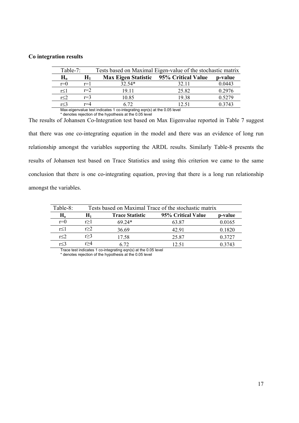# **Co integration results**

| Table-7:          |       | Tests based on Maximal Eigen-value of the stochastic matrix |                    |         |  |
|-------------------|-------|-------------------------------------------------------------|--------------------|---------|--|
| ${\bf H}^{\bf v}$ | $H_1$ | <b>Max Eigen Statistic</b>                                  | 95% Critical Value | p-value |  |
| $r=0$             | $r=1$ | $32.54*$                                                    | 32 11              | 0.0443  |  |
| r<1               | $r=2$ | 19 11                                                       | 25.82              | 0.2976  |  |
| r<2               | $r=3$ | 10.85                                                       | 1938               | 0.5279  |  |
| r<3               | r=∆   | 6 72                                                        | 12.51              | 0.3743  |  |

 Max-eigenvalue test indicates 1 co-integrating eqn(s) at the 0.05 level \* denotes rejection of the hypothesis at the 0.05 level

The results of Johansen Co-Integration test based on Max Eigenvalue reported in Table 7 suggest that there was one co-integrating equation in the model and there was an evidence of long run relationship amongst the variables supporting the ARDL results. Similarly Table-8 presents the results of Johansen test based on Trace Statistics and using this criterion we came to the same conclusion that there is one co-integrating equation, proving that there is a long run relationship amongst the variables.

| Table-8:              | Tests based on Maximal Trace of the stochastic matrix |                        |                    |           |  |
|-----------------------|-------------------------------------------------------|------------------------|--------------------|-----------|--|
| $\mathbf{H}^{\prime}$ |                                                       | <b>Trace Statistic</b> | 95% Critical Value | p-value   |  |
| $r=0$                 | r > 1                                                 | $6924*$                | 63.87              | 0.0165    |  |
| r<1                   | r > 2                                                 | 36.69                  | 42.91              | 0.1820    |  |
| r<2                   | r > 3                                                 | 17.58                  | 25.87              | 0 3 7 2 7 |  |
| r<3                   |                                                       | 5 72                   | 12.51              | 3743      |  |

 Trace test indicates 1 co-integrating eqn(s) at the 0.05 level \* denotes rejection of the hypothesis at the 0.05 level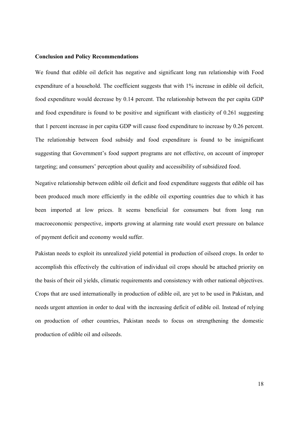#### **Conclusion and Policy Recommendations**

We found that edible oil deficit has negative and significant long run relationship with Food expenditure of a household. The coefficient suggests that with 1% increase in edible oil deficit, food expenditure would decrease by 0.14 percent. The relationship between the per capita GDP and food expenditure is found to be positive and significant with elasticity of 0.261 suggesting that 1 percent increase in per capita GDP will cause food expenditure to increase by 0.26 percent. The relationship between food subsidy and food expenditure is found to be insignificant suggesting that Government's food support programs are not effective, on account of improper targeting; and consumers' perception about quality and accessibility of subsidized food.

Negative relationship between edible oil deficit and food expenditure suggests that edible oil has been produced much more efficiently in the edible oil exporting countries due to which it has been imported at low prices. It seems beneficial for consumers but from long run macroeconomic perspective, imports growing at alarming rate would exert pressure on balance of payment deficit and economy would suffer.

Pakistan needs to exploit its unrealized yield potential in production of oilseed crops. In order to accomplish this effectively the cultivation of individual oil crops should be attached priority on the basis of their oil yields, climatic requirements and consistency with other national objectives. Crops that are used internationally in production of edible oil, are yet to be used in Pakistan, and needs urgent attention in order to deal with the increasing deficit of edible oil. Instead of relying on production of other countries, Pakistan needs to focus on strengthening the domestic production of edible oil and oilseeds.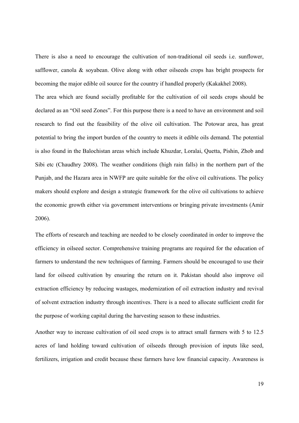There is also a need to encourage the cultivation of non-traditional oil seeds i.e. sunflower, safflower, canola & soyabean. Olive along with other oilseeds crops has bright prospects for becoming the major edible oil source for the country if handled properly (Kakakhel 2008).

The area which are found socially profitable for the cultivation of oil seeds crops should be declared as an "Oil seed Zones". For this purpose there is a need to have an environment and soil research to find out the feasibility of the olive oil cultivation. The Potowar area, has great potential to bring the import burden of the country to meets it edible oils demand. The potential is also found in the Balochistan areas which include Khuzdar, Loralai, Quetta, Pishin, Zhob and Sibi etc (Chaudhry 2008). The weather conditions (high rain falls) in the northern part of the Punjab, and the Hazara area in NWFP are quite suitable for the olive oil cultivations. The policy makers should explore and design a strategic framework for the olive oil cultivations to achieve the economic growth either via government interventions or bringing private investments (Amir 2006).

The efforts of research and teaching are needed to be closely coordinated in order to improve the efficiency in oilseed sector. Comprehensive training programs are required for the education of farmers to understand the new techniques of farming. Farmers should be encouraged to use their land for oilseed cultivation by ensuring the return on it. Pakistan should also improve oil extraction efficiency by reducing wastages, modernization of oil extraction industry and revival of solvent extraction industry through incentives. There is a need to allocate sufficient credit for the purpose of working capital during the harvesting season to these industries.

Another way to increase cultivation of oil seed crops is to attract small farmers with 5 to 12.5 acres of land holding toward cultivation of oilseeds through provision of inputs like seed, fertilizers, irrigation and credit because these farmers have low financial capacity. Awareness is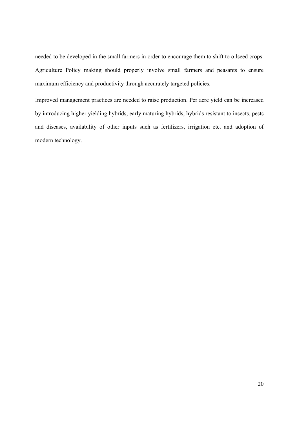needed to be developed in the small farmers in order to encourage them to shift to oilseed crops. Agriculture Policy making should properly involve small farmers and peasants to ensure maximum efficiency and productivity through accurately targeted policies.

Improved management practices are needed to raise production. Per acre yield can be increased by introducing higher yielding hybrids, early maturing hybrids, hybrids resistant to insects, pests and diseases, availability of other inputs such as fertilizers, irrigation etc. and adoption of modern technology.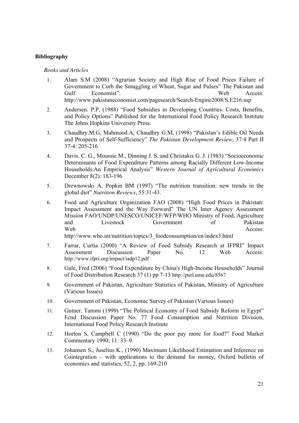# **Bibliography**

# *Books and Articles*

- 1. Alam S.M (2008) "Agrarian Society and High Rise of Food Prices Failure of Government to Curb the Smuggling of Wheat, Sugar and Pulses" The Pakistan and Gulf Economist". Web Access: http://www.pakistaneconomist.com/pagesearch/Search-Engine2008/S.E216.asp
- 2. Andersen. P.P, (1988) "Food Subsidies in Developing Countries: Costs, Benefits, and Policy Options" Published for the International Food Policy Research Institute The Johns Hopkins University Press.
- 3. Chaudhry.M.G, Mahmood.A, Chaudhry G.M, (1998) "Pakistan's Edible Oil Needs and Prospects of Self-Sufficiency" *The Pakistan Development Review,* 37:4 Part II 37-4: 205-216
- 4. Davis. C. G., Moussie M., Dinning J. S. and Christakis G. J. (1983) "Socioeconomic Determinants of Food Expenditure Patterns among Racially Different Low-Income Households:An Empirical Analysis" *Western Journal of Agricultural Economics* December 8(2): 183-196
- 5. Drewnowski A, Popkin BM (1997) "The nutrition transition: new trends in the global diet" *Nutrition Reviews*, 55:31-43.
- 6. Food and Agriculture Organization FAO (2008) "High Food Prices in Pakistan: Impact Assessment and the Way Forward" The UN Inter Agency Assessment Mission FAO/UNDP/UNESCO/UNICEF/WFP/WHO Ministry of Food, Agriculture and Livestock Government of Pakistan Web Access: http://www.who.int/nutrition/topics/3\_foodconsumption/en/index3.html
- 7. Farrar, Curtia (2000) "A Review of Food Subsidy Research at IFPRI" Impact Assessment Discussion Paper No. 12 Web Access: http://www.ifpri.org/impact/iadp12.pdf
- 8. Gale, Fred (2006) "Food Expenditure by China's High-Income Households" Journal of Food Distribution Research 37 (1) pp 7-13 http://purl.umn.edu/8567
- 9. Government of Pakistan, Agriculture Statistics of Pakistan, Ministry of Agriculture (Various Issues)
- 10. Government of Pakistan, Economic Survey of Pakistan (Various Issues)
- 11. Gutner. Tammi (1999) "The Political Economy of Food Subsidy Reform in Egypt" Fcnd Discussion Paper No. 77 Food Consumption and Nutrition Division, International Food Policy Research Institute
- 12. Horton S, Campbell C (1990) "Do the poor pay more for food?" Food Market Commentary 1990; 11: 33–9.
- 13. Johansen S., Juselius K., (1990) Maximum Likelihood Estimation and Inference on Cointegration – with applications to the demand for money, Oxford bulletin of economics and statistics, 52, 2, pp. 169-210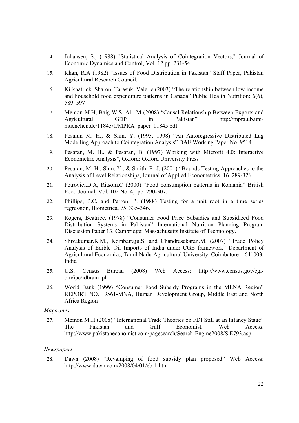- 14. Johansen, S., (1988) "Statistical Analysis of Cointegration Vectors," Journal of Economic Dynamics and Control, Vol. 12 pp. 231-54.
- 15. Khan, R.A (1982) "Issues of Food Distribution in Pakistan" Staff Paper, Pakistan Agricultural Research Council.
- 16. Kirkpatrick. Sharon, Tarasuk. Valerie (2003) "The relationship between low income and household food expenditure patterns in Canada" Public Health Nutrition: 6(6), 589–597
- 17. Memon M.H, Baig W.S, Ali, M (2008) "Causal Relationship Between Exports and Agricultural GDP in Pakistan" http://mnra ub uni-Agricultural GDP in Pakistan" http://mpra.ub.unimuenchen.de/11845/1/MPRA\_paper\_11845.pdf
- 18. Pesaran M. H., & Shin, Y. (1995, 1998) "An Autoregressive Distributed Lag Modelling Approach to Cointegration Analysis" DAE Working Paper No. 9514
- 19. Pesaran, M. H., & Pesaran, B. (1997) Working with Microfit 4.0: Interactive Econometric Analysis", Oxford: Oxford University Press
- 20. Pesaran, M. H., Shin, Y., & Smith, R. J. (2001) "Bounds Testing Approaches to the Analysis of Level Relationships, Journal of Applied Econometrics, 16, 289-326
- 21. Petrovici.D.A, Ritsom.C (2000) "Food consumption patterns in Romania" British Food Journal, Vol. 102 No. 4, pp. 290-307.
- 22. Phillips, P.C. and Perron, P. (1988) Testing for a unit root in a time series regression, Biometrica, 75, 335-346.
- 23. Rogers, Beatrice. (1978) "Consumer Food Price Subsidies and Subsidized Food Distribution Systems in Pakistan" International Nutrition Planning Program Discussion Paper 13. Cambridge: Massachusetts Institute of Technology.
- 24. Shivakumar.K.M., Kombairaju.S. and Chandrasekaran.M. (2007) "Trade Policy Analysis of Edible Oil Imports of India under CGE framework" Department of Agricultural Economics, Tamil Nadu Agricultural University, Coimbatore – 641003, India
- 25. U.S. Census Bureau (2008) Web Access: http://www.census.gov/cgibin/ipc/idbrank.pl
- 26. World Bank (1999) "Consumer Food Subsidy Programs in the MENA Region" REPORT NO. 19561-MNA, Human Development Group, Middle East and North Africa Region

# *Magazines*

27. Memon M.H (2008) "International Trade Theories on FDI Still at an Infancy Stage" The Pakistan and Gulf Economist. Web Access: http://www.pakistaneconomist.com/pagesearch/Search-Engine2008/S.E793.asp

#### *Newspapers*

28. Dawn (2008) "Revamping of food subsidy plan proposed" Web Access: http://www.dawn.com/2008/04/01/ebr1.htm